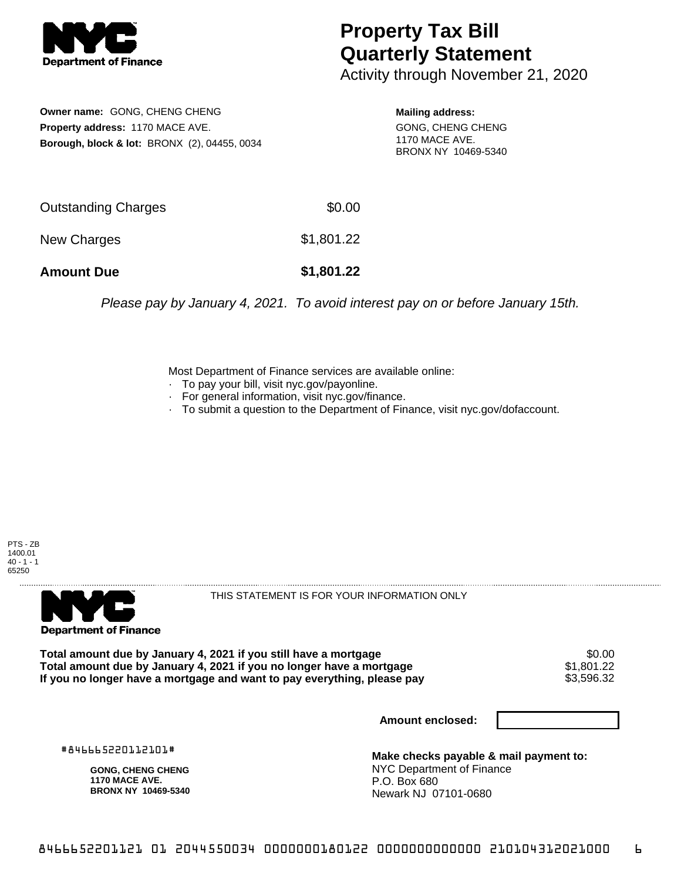

## **Property Tax Bill Quarterly Statement**

Activity through November 21, 2020

**Owner name:** GONG, CHENG CHENG **Property address:** 1170 MACE AVE. **Borough, block & lot:** BRONX (2), 04455, 0034

**Mailing address:** GONG, CHENG CHENG 1170 MACE AVE. BRONX NY 10469-5340

| <b>Amount Due</b>   | \$1,801.22 |
|---------------------|------------|
| New Charges         | \$1,801.22 |
| Outstanding Charges | \$0.00     |

Please pay by January 4, 2021. To avoid interest pay on or before January 15th.

Most Department of Finance services are available online:

- · To pay your bill, visit nyc.gov/payonline.
- For general information, visit nyc.gov/finance.
- · To submit a question to the Department of Finance, visit nyc.gov/dofaccount.





THIS STATEMENT IS FOR YOUR INFORMATION ONLY

Total amount due by January 4, 2021 if you still have a mortgage \$0.00<br>Total amount due by January 4, 2021 if you no longer have a mortgage \$1.801.22 **Total amount due by January 4, 2021 if you no longer have a mortgage**  $$1,801.22$$ **<br>If you no longer have a mortgage and want to pay everything, please pay**  $$3,596.32$$ If you no longer have a mortgage and want to pay everything, please pay

**Amount enclosed:**

#846665220112101#

**GONG, CHENG CHENG 1170 MACE AVE. BRONX NY 10469-5340**

**Make checks payable & mail payment to:** NYC Department of Finance P.O. Box 680 Newark NJ 07101-0680